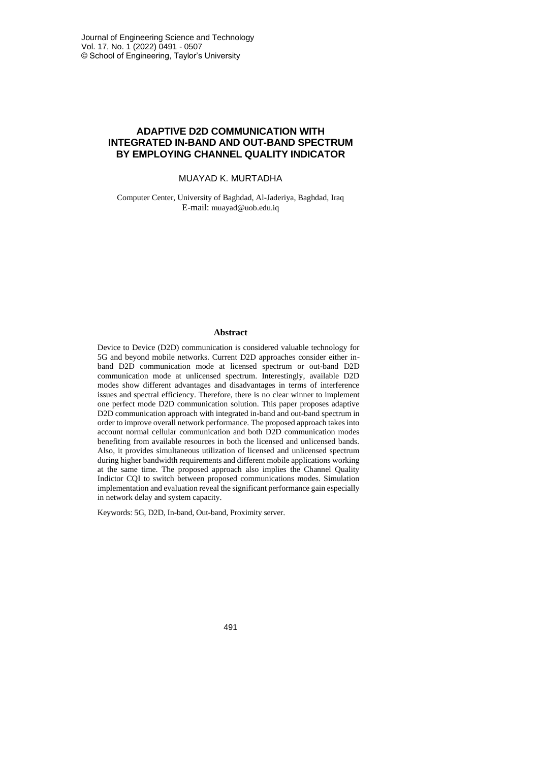# **ADAPTIVE D2D COMMUNICATION WITH INTEGRATED IN-BAND AND OUT-BAND SPECTRUM BY EMPLOYING CHANNEL QUALITY INDICATOR**

### MUAYAD K. MURTADHA

Computer Center, University of Baghdad, Al-Jaderiya, Baghdad, Iraq E-mail: [muayad@uob.edu.iq](mailto:muayad@uob.edu.iq)

### **Abstract**

Device to Device (D2D) communication is considered valuable technology for 5G and beyond mobile networks. Current D2D approaches consider either inband D2D communication mode at licensed spectrum or out-band D2D communication mode at unlicensed spectrum. Interestingly, available D2D modes show different advantages and disadvantages in terms of interference issues and spectral efficiency. Therefore, there is no clear winner to implement one perfect mode D2D communication solution. This paper proposes adaptive D2D communication approach with integrated in-band and out-band spectrum in order to improve overall network performance. The proposed approach takes into account normal cellular communication and both D2D communication modes benefiting from available resources in both the licensed and unlicensed bands. Also, it provides simultaneous utilization of licensed and unlicensed spectrum during higher bandwidth requirements and different mobile applications working at the same time. The proposed approach also implies the Channel Quality Indictor CQI to switch between proposed communications modes. Simulation implementation and evaluation reveal the significant performance gain especially in network delay and system capacity.

Keywords: 5G, D2D, In-band, Out-band, Proximity server.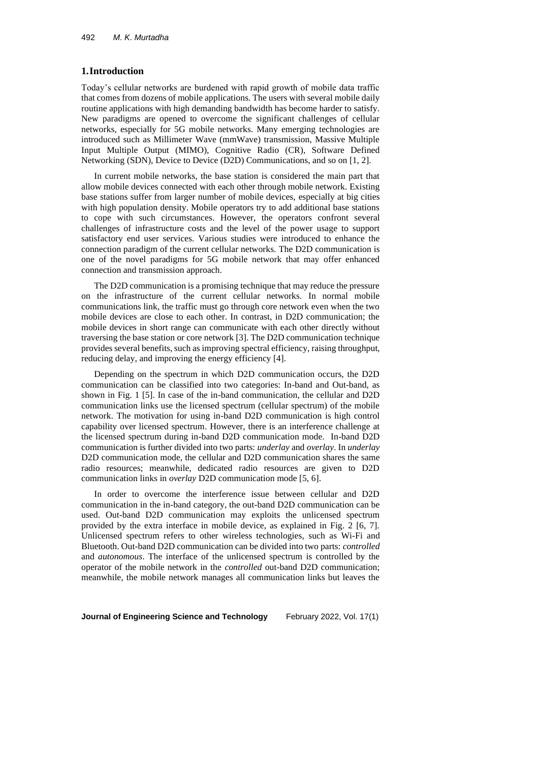## **1.Introduction**

Today's cellular networks are burdened with rapid growth of mobile data traffic that comes from dozens of mobile applications. The users with several mobile daily routine applications with high demanding bandwidth has become harder to satisfy. New paradigms are opened to overcome the significant challenges of cellular networks, especially for 5G mobile networks. Many emerging technologies are introduced such as Millimeter Wave (mmWave) transmission, Massive Multiple Input Multiple Output (MIMO), Cognitive Radio (CR), Software Defined Networking (SDN), Device to Device (D2D) Communications, and so on [1, 2].

In current mobile networks, the base station is considered the main part that allow mobile devices connected with each other through mobile network. Existing base stations suffer from larger number of mobile devices, especially at big cities with high population density. Mobile operators try to add additional base stations to cope with such circumstances. However, the operators confront several challenges of infrastructure costs and the level of the power usage to support satisfactory end user services. Various studies were introduced to enhance the connection paradigm of the current cellular networks. The D2D communication is one of the novel paradigms for 5G mobile network that may offer enhanced connection and transmission approach.

The D2D communication is a promising technique that may reduce the pressure on the infrastructure of the current cellular networks. In normal mobile communications link, the traffic must go through core network even when the two mobile devices are close to each other. In contrast, in D2D communication; the mobile devices in short range can communicate with each other directly without traversing the base station or core network [3]. The D2D communication technique provides several benefits, such as improving spectral efficiency, raising throughput, reducing delay, and improving the energy efficiency [4].

Depending on the spectrum in which D2D communication occurs, the D2D communication can be classified into two categories: In-band and Out-band, as shown in Fig. 1 [5]. In case of the in-band communication, the cellular and D2D communication links use the licensed spectrum (cellular spectrum) of the mobile network. The motivation for using in-band D2D communication is high control capability over licensed spectrum. However, there is an interference challenge at the licensed spectrum during in-band D2D communication mode. In-band D2D communication is further divided into two parts: *underlay* and *overlay*. In *underlay* D2D communication mode, the cellular and D2D communication shares the same radio resources; meanwhile, dedicated radio resources are given to D2D communication links in *overlay* D2D communication mode [5, 6].

In order to overcome the interference issue between cellular and D2D communication in the in-band category, the out-band D2D communication can be used. Out-band D2D communication may exploits the unlicensed spectrum provided by the extra interface in mobile device, as explained in Fig. 2 [6, 7]. Unlicensed spectrum refers to other wireless technologies, such as Wi-Fi and Bluetooth. Out-band D2D communication can be divided into two parts: *controlled* and *autonomous*. The interface of the unlicensed spectrum is controlled by the operator of the mobile network in the *controlled* out-band D2D communication; meanwhile, the mobile network manages all communication links but leaves the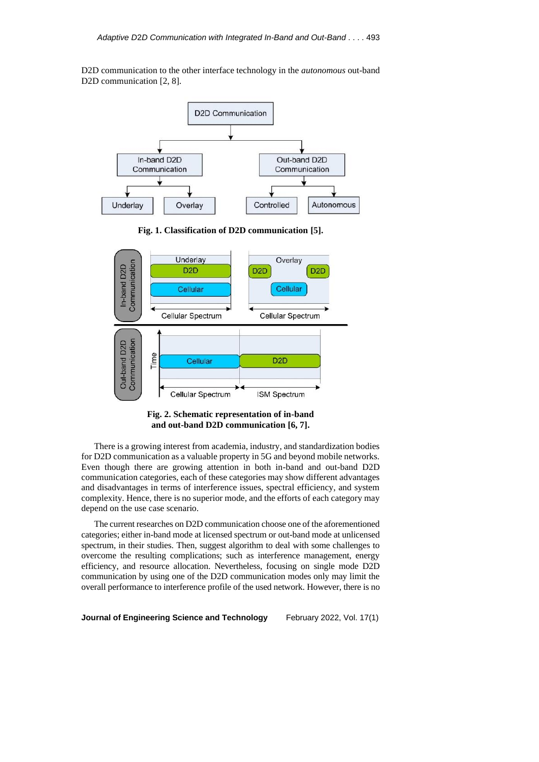D2D communication to the other interface technology in the *autonomous* out-band D2D communication [2, 8].



**Fig. 1. Classification of D2D communication [5].**



**Fig. 2. Schematic representation of in-band and out-band D2D communication [6, 7].**

There is a growing interest from academia, industry, and standardization bodies for D2D communication as a valuable property in 5G and beyond mobile networks. Even though there are growing attention in both in-band and out-band D2D communication categories, each of these categories may show different advantages and disadvantages in terms of interference issues, spectral efficiency, and system complexity. Hence, there is no superior mode, and the efforts of each category may depend on the use case scenario.

The current researches on D2D communication choose one of the aforementioned categories; either in-band mode at licensed spectrum or out-band mode at unlicensed spectrum, in their studies. Then, suggest algorithm to deal with some challenges to overcome the resulting complications; such as interference management, energy efficiency, and resource allocation. Nevertheless, focusing on single mode D2D communication by using one of the D2D communication modes only may limit the overall performance to interference profile of the used network. However, there is no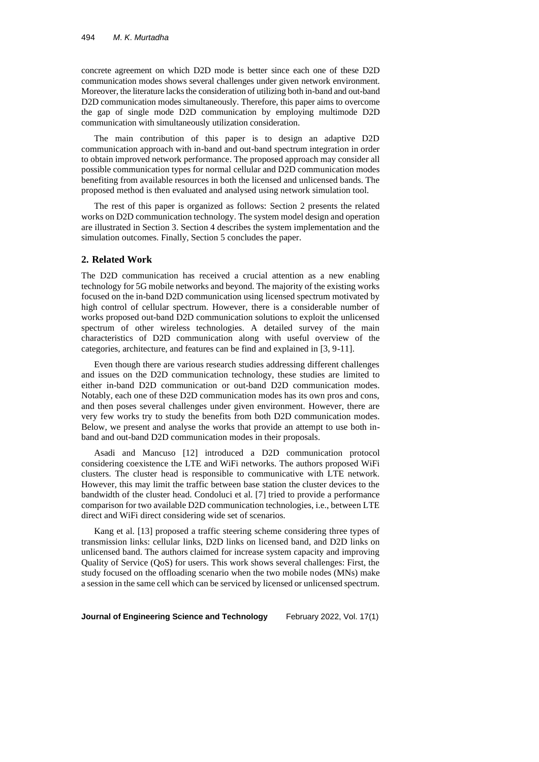concrete agreement on which D2D mode is better since each one of these D2D communication modes shows several challenges under given network environment. Moreover, the literature lacks the consideration of utilizing both in-band and out-band D2D communication modes simultaneously. Therefore, this paper aims to overcome the gap of single mode D2D communication by employing multimode D2D communication with simultaneously utilization consideration.

The main contribution of this paper is to design an adaptive D2D communication approach with in-band and out-band spectrum integration in order to obtain improved network performance. The proposed approach may consider all possible communication types for normal cellular and D2D communication modes benefiting from available resources in both the licensed and unlicensed bands. The proposed method is then evaluated and analysed using network simulation tool.

The rest of this paper is organized as follows: Section 2 presents the related works on D2D communication technology. The system model design and operation are illustrated in Section 3. Section 4 describes the system implementation and the simulation outcomes. Finally, Section 5 concludes the paper.

## **2. Related Work**

The D2D communication has received a crucial attention as a new enabling technology for 5G mobile networks and beyond. The majority of the existing works focused on the in-band D2D communication using licensed spectrum motivated by high control of cellular spectrum. However, there is a considerable number of works proposed out-band D2D communication solutions to exploit the unlicensed spectrum of other wireless technologies. A detailed survey of the main characteristics of D2D communication along with useful overview of the categories, architecture, and features can be find and explained in [3, 9-11].

Even though there are various research studies addressing different challenges and issues on the D2D communication technology, these studies are limited to either in-band D2D communication or out-band D2D communication modes. Notably, each one of these D2D communication modes has its own pros and cons, and then poses several challenges under given environment. However, there are very few works try to study the benefits from both D2D communication modes. Below, we present and analyse the works that provide an attempt to use both inband and out-band D2D communication modes in their proposals.

Asadi and Mancuso [12] introduced a D2D communication protocol considering coexistence the LTE and WiFi networks. The authors proposed WiFi clusters. The cluster head is responsible to communicative with LTE network. However, this may limit the traffic between base station the cluster devices to the bandwidth of the cluster head. Condoluci et al. [7] tried to provide a performance comparison for two available D2D communication technologies, i.e., between LTE direct and WiFi direct considering wide set of scenarios.

Kang et al. [13] proposed a traffic steering scheme considering three types of transmission links: cellular links, D2D links on licensed band, and D2D links on unlicensed band. The authors claimed for increase system capacity and improving Quality of Service (QoS) for users. This work shows several challenges: First, the study focused on the offloading scenario when the two mobile nodes (MNs) make a session in the same cell which can be serviced by licensed or unlicensed spectrum.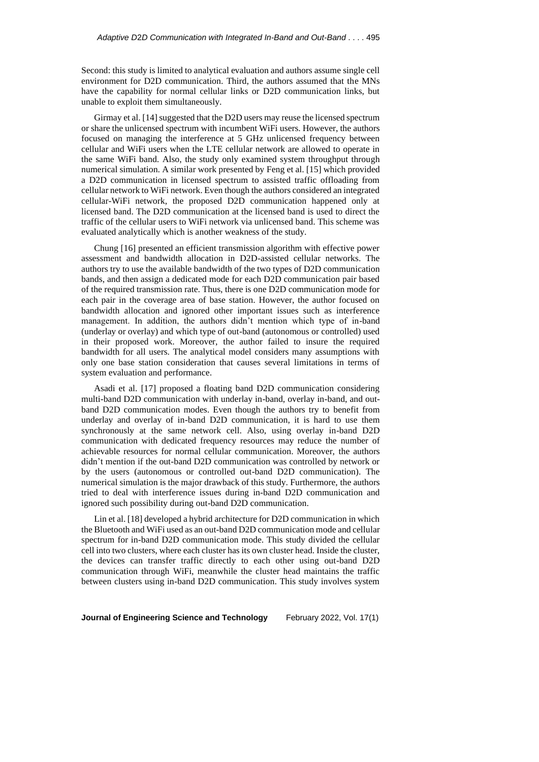Second: this study is limited to analytical evaluation and authors assume single cell environment for D2D communication. Third, the authors assumed that the MNs have the capability for normal cellular links or D2D communication links, but unable to exploit them simultaneously.

Girmay et al. [14] suggested that the D2D users may reuse the licensed spectrum or share the unlicensed spectrum with incumbent WiFi users. However, the authors focused on managing the interference at 5 GHz unlicensed frequency between cellular and WiFi users when the LTE cellular network are allowed to operate in the same WiFi band. Also, the study only examined system throughput through numerical simulation. A similar work presented by Feng et al. [15] which provided a D2D communication in licensed spectrum to assisted traffic offloading from cellular network to WiFi network. Even though the authors considered an integrated cellular-WiFi network, the proposed D2D communication happened only at licensed band. The D2D communication at the licensed band is used to direct the traffic of the cellular users to WiFi network via unlicensed band. This scheme was evaluated analytically which is another weakness of the study.

Chung [16] presented an efficient transmission algorithm with effective power assessment and bandwidth allocation in D2D-assisted cellular networks. The authors try to use the available bandwidth of the two types of D2D communication bands, and then assign a dedicated mode for each D2D communication pair based of the required transmission rate. Thus, there is one D2D communication mode for each pair in the coverage area of base station. However, the author focused on bandwidth allocation and ignored other important issues such as interference management. In addition, the authors didn't mention which type of in-band (underlay or overlay) and which type of out-band (autonomous or controlled) used in their proposed work. Moreover, the author failed to insure the required bandwidth for all users. The analytical model considers many assumptions with only one base station consideration that causes several limitations in terms of system evaluation and performance.

Asadi et al. [17] proposed a floating band D2D communication considering multi-band D2D communication with underlay in-band, overlay in-band, and outband D2D communication modes. Even though the authors try to benefit from underlay and overlay of in-band D2D communication, it is hard to use them synchronously at the same network cell. Also, using overlay in-band D2D communication with dedicated frequency resources may reduce the number of achievable resources for normal cellular communication. Moreover, the authors didn't mention if the out-band D2D communication was controlled by network or by the users (autonomous or controlled out-band D2D communication). The numerical simulation is the major drawback of this study. Furthermore, the authors tried to deal with interference issues during in-band D2D communication and ignored such possibility during out-band D2D communication.

Lin et al. [18] developed a hybrid architecture for D2D communication in which the Bluetooth and WiFi used as an out-band D2D communication mode and cellular spectrum for in-band D2D communication mode. This study divided the cellular cell into two clusters, where each cluster has its own cluster head. Inside the cluster, the devices can transfer traffic directly to each other using out-band D2D communication through WiFi, meanwhile the cluster head maintains the traffic between clusters using in-band D2D communication. This study involves system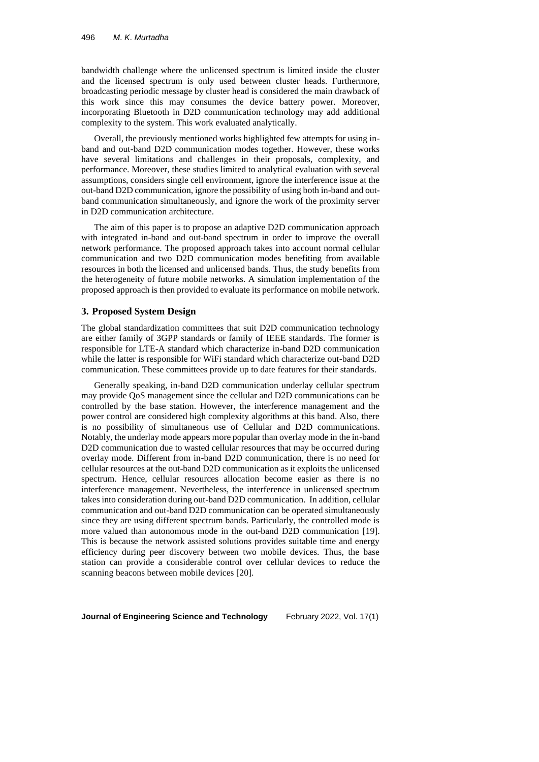bandwidth challenge where the unlicensed spectrum is limited inside the cluster and the licensed spectrum is only used between cluster heads. Furthermore, broadcasting periodic message by cluster head is considered the main drawback of this work since this may consumes the device battery power. Moreover, incorporating Bluetooth in D2D communication technology may add additional complexity to the system. This work evaluated analytically.

Overall, the previously mentioned works highlighted few attempts for using inband and out-band D2D communication modes together. However, these works have several limitations and challenges in their proposals, complexity, and performance. Moreover, these studies limited to analytical evaluation with several assumptions, considers single cell environment, ignore the interference issue at the out-band D2D communication, ignore the possibility of using both in-band and outband communication simultaneously, and ignore the work of the proximity server in D2D communication architecture.

The aim of this paper is to propose an adaptive D2D communication approach with integrated in-band and out-band spectrum in order to improve the overall network performance. The proposed approach takes into account normal cellular communication and two D2D communication modes benefiting from available resources in both the licensed and unlicensed bands. Thus, the study benefits from the heterogeneity of future mobile networks. A simulation implementation of the proposed approach is then provided to evaluate its performance on mobile network.

# **3. Proposed System Design**

The global standardization committees that suit D2D communication technology are either family of 3GPP standards or family of IEEE standards. The former is responsible for LTE-A standard which characterize in-band D2D communication while the latter is responsible for WiFi standard which characterize out-band D2D communication. These committees provide up to date features for their standards.

Generally speaking, in-band D2D communication underlay cellular spectrum may provide QoS management since the cellular and D2D communications can be controlled by the base station. However, the interference management and the power control are considered high complexity algorithms at this band. Also, there is no possibility of simultaneous use of Cellular and D2D communications. Notably, the underlay mode appears more popular than overlay mode in the in-band D2D communication due to wasted cellular resources that may be occurred during overlay mode. Different from in-band D2D communication, there is no need for cellular resources at the out-band D2D communication as it exploits the unlicensed spectrum. Hence, cellular resources allocation become easier as there is no interference management. Nevertheless, the interference in unlicensed spectrum takes into consideration during out-band D2D communication. In addition, cellular communication and out-band D2D communication can be operated simultaneously since they are using different spectrum bands. Particularly, the controlled mode is more valued than autonomous mode in the out-band D2D communication [19]. This is because the network assisted solutions provides suitable time and energy efficiency during peer discovery between two mobile devices. Thus, the base station can provide a considerable control over cellular devices to reduce the scanning beacons between mobile devices [20].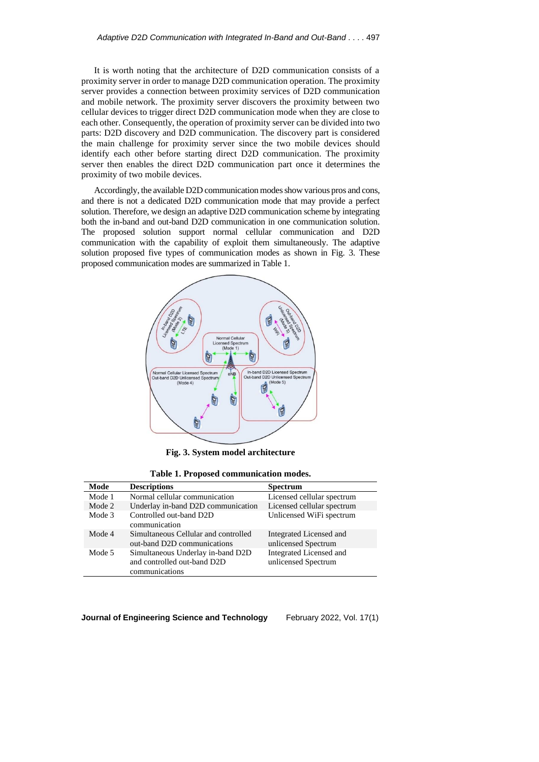It is worth noting that the architecture of D2D communication consists of a proximity server in order to manage D2D communication operation. The proximity server provides a connection between proximity services of D2D communication and mobile network. The proximity server discovers the proximity between two cellular devices to trigger direct D2D communication mode when they are close to each other. Consequently, the operation of proximity server can be divided into two parts: D2D discovery and D2D communication. The discovery part is considered the main challenge for proximity server since the two mobile devices should identify each other before starting direct D2D communication. The proximity server then enables the direct D2D communication part once it determines the proximity of two mobile devices.

Accordingly, the available D2D communication modes show various pros and cons, and there is not a dedicated D2D communication mode that may provide a perfect solution. Therefore, we design an adaptive D2D communication scheme by integrating both the in-band and out-band D2D communication in one communication solution. The proposed solution support normal cellular communication and D2D communication with the capability of exploit them simultaneously. The adaptive solution proposed five types of communication modes as shown in Fig. 3. These proposed communication modes are summarized in Table 1.



**Fig. 3. System model architecture**

**Table 1. Proposed communication modes.**

| Mode   | <b>Descriptions</b>                                                                | <b>Spectrum</b>                                |
|--------|------------------------------------------------------------------------------------|------------------------------------------------|
| Mode 1 | Normal cellular communication                                                      | Licensed cellular spectrum                     |
| Mode 2 | Underlay in-band D2D communication                                                 | Licensed cellular spectrum                     |
| Mode 3 | Controlled out-band D2D<br>communication                                           | Unlicensed WiFi spectrum                       |
| Mode 4 | Simultaneous Cellular and controlled<br>out-band D2D communications                | Integrated Licensed and<br>unlicensed Spectrum |
| Mode 5 | Simultaneous Underlay in-band D2D<br>and controlled out-band D2D<br>communications | Integrated Licensed and<br>unlicensed Spectrum |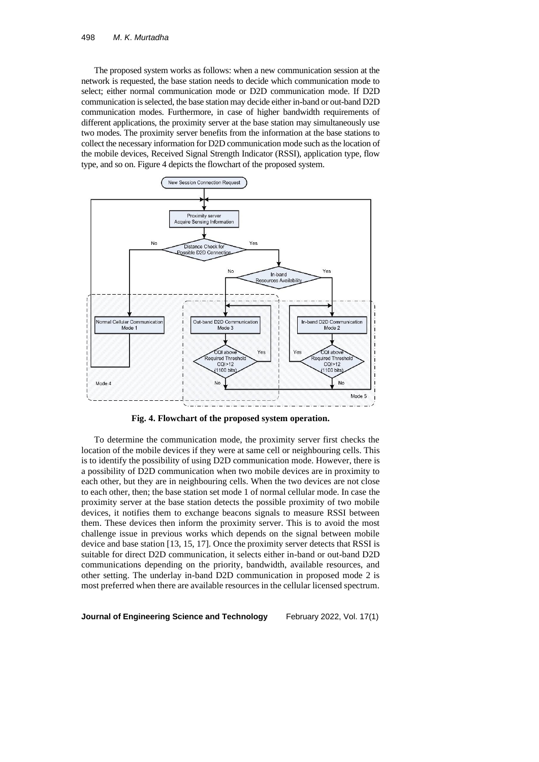The proposed system works as follows: when a new communication session at the network is requested, the base station needs to decide which communication mode to select; either normal communication mode or D2D communication mode. If D2D communication is selected, the base station may decide either in-band or out-band D2D communication modes. Furthermore, in case of higher bandwidth requirements of different applications, the proximity server at the base station may simultaneously use two modes. The proximity server benefits from the information at the base stations to collect the necessary information for D2D communication mode such as the location of the mobile devices, Received Signal Strength Indicator (RSSI), application type, flow type, and so on. Figure 4 depicts the flowchart of the proposed system.



**Fig. 4. Flowchart of the proposed system operation.**

To determine the communication mode, the proximity server first checks the location of the mobile devices if they were at same cell or neighbouring cells. This is to identify the possibility of using D2D communication mode. However, there is a possibility of D2D communication when two mobile devices are in proximity to each other, but they are in neighbouring cells. When the two devices are not close to each other, then; the base station set mode 1 of normal cellular mode. In case the proximity server at the base station detects the possible proximity of two mobile devices, it notifies them to exchange beacons signals to measure RSSI between them. These devices then inform the proximity server. This is to avoid the most challenge issue in previous works which depends on the signal between mobile device and base station [13, 15, 17]. Once the proximity server detects that RSSI is suitable for direct D2D communication, it selects either in-band or out-band D2D communications depending on the priority, bandwidth, available resources, and other setting. The underlay in-band D2D communication in proposed mode 2 is most preferred when there are available resources in the cellular licensed spectrum.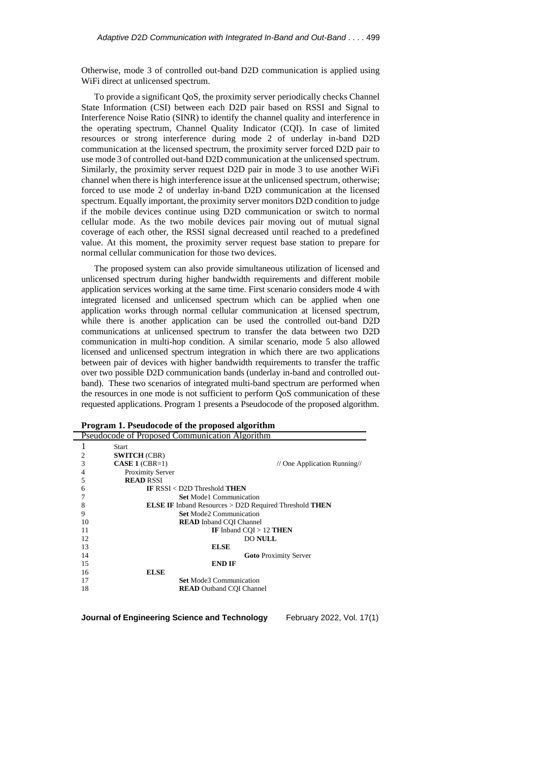Otherwise, mode 3 of controlled out-band D2D communication is applied using WiFi direct at unlicensed spectrum.

To provide a significant QoS, the proximity server periodically checks Channel State Information (CSI) between each D2D pair based on RSSI and Signal to Interference Noise Ratio (SINR) to identify the channel quality and interference in the operating spectrum, Channel Quality Indicator (CQI). In case of limited resources or strong interference during mode 2 of underlay in-band D2D communication at the licensed spectrum, the proximity server forced D2D pair to use mode 3 of controlled out-band D2D communication at the unlicensed spectrum. Similarly, the proximity server request D2D pair in mode 3 to use another WiFi channel when there is high interference issue at the unlicensed spectrum, otherwise; forced to use mode 2 of underlay in-band D2D communication at the licensed spectrum. Equally important, the proximity server monitors D2D condition to judge if the mobile devices continue using D2D communication or switch to normal cellular mode. As the two mobile devices pair moving out of mutual signal coverage of each other, the RSSI signal decreased until reached to a predefined value. At this moment, the proximity server request base station to prepare for normal cellular communication for those two devices.

The proposed system can also provide simultaneous utilization of licensed and unlicensed spectrum during higher bandwidth requirements and different mobile application services working at the same time. First scenario considers mode 4 with integrated licensed and unlicensed spectrum which can be applied when one application works through normal cellular communication at licensed spectrum, while there is another application can be used the controlled out-band D2D communications at unlicensed spectrum to transfer the data between two D2D communication in multi-hop condition. A similar scenario, mode 5 also allowed licensed and unlicensed spectrum integration in which there are two applications between pair of devices with higher bandwidth requirements to transfer the traffic over two possible D2D communication bands (underlay in-band and controlled outband). These two scenarios of integrated multi-band spectrum are performed when the resources in one mode is not sufficient to perform QoS communication of these requested applications. Program 1 presents a Pseudocode of the proposed algorithm.

| Pseudocode of Proposed Communication Algorithm |                                                                      |  |  |  |
|------------------------------------------------|----------------------------------------------------------------------|--|--|--|
|                                                | <b>Start</b>                                                         |  |  |  |
| $\overline{2}$                                 | <b>SWITCH (CBR)</b>                                                  |  |  |  |
| 3                                              | $CASE 1 (CBR=1)$<br>// One Application Running//                     |  |  |  |
| 4                                              | <b>Proximity Server</b>                                              |  |  |  |
| 5                                              | <b>READ RSSI</b>                                                     |  |  |  |
| 6                                              | IF $RSSI < D2D$ Threshold THEN                                       |  |  |  |
|                                                | <b>Set Mode1 Communication</b>                                       |  |  |  |
| 8                                              | <b>ELSE IF</b> Inband Resources > D2D Required Threshold <b>THEN</b> |  |  |  |
| 9                                              | <b>Set Mode2 Communication</b>                                       |  |  |  |
| 10                                             | <b>READ</b> Inband COI Channel                                       |  |  |  |
| 11                                             | IF Inband CQI > 12 THEN                                              |  |  |  |
| 12                                             | <b>DO NULL</b>                                                       |  |  |  |
| 13                                             | <b>ELSE</b>                                                          |  |  |  |
| 14                                             | <b>Goto</b> Proximity Server                                         |  |  |  |
| 15                                             | END IF                                                               |  |  |  |
| 16                                             | <b>ELSE</b>                                                          |  |  |  |
| 17                                             | <b>Set Mode3 Communication</b>                                       |  |  |  |
| 18                                             | <b>READ</b> Outband COI Channel                                      |  |  |  |

|  | Program 1. Pseudocode of the proposed algorithm |  |  |  |
|--|-------------------------------------------------|--|--|--|
|  |                                                 |  |  |  |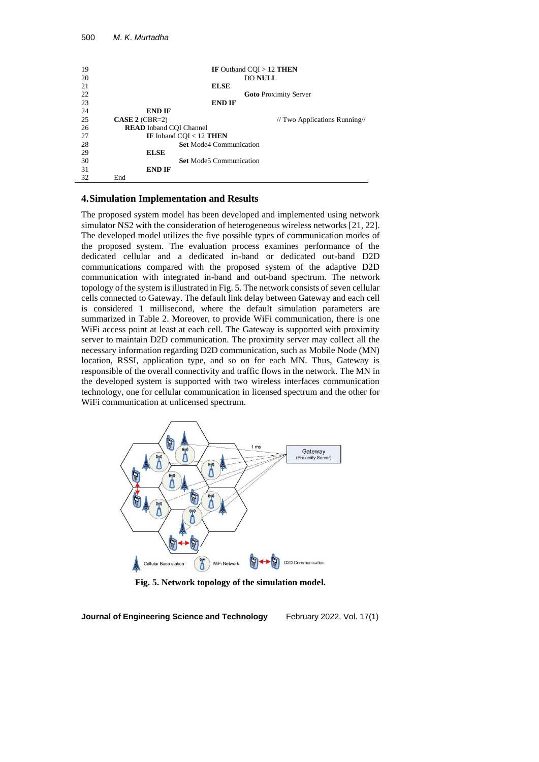```
19 IF Outband CQI > 12 THEN<br>20 DO NITL
20 DO NULL
21 ELSE
22 Goto Proximity Server
23 END IF
24 END IF<br>25 CASE 2 (CBR=2)
25 CASE 2 (CBR=2) // Two Applications Running 26 READ Inband COI Channel
26 READ Inband CQI Channel<br>27 IF Inband COI < 12
27 IF Inband CQI < 12 THEN<br>28 Set Mode4 Com
28 Set Mode4 Communication<br>29 ELSE
            29 ELSE
30 Set Mode5 Communication
31 END IF
      End
```
# **4.Simulation Implementation and Results**

The proposed system model has been developed and implemented using network simulator NS2 with the consideration of heterogeneous wireless networks [21, 22]. The developed model utilizes the five possible types of communication modes of the proposed system. The evaluation process examines performance of the dedicated cellular and a dedicated in-band or dedicated out-band D2D communications compared with the proposed system of the adaptive D2D communication with integrated in-band and out-band spectrum. The network topology of the system is illustrated in Fig. 5. The network consists of seven cellular cells connected to Gateway. The default link delay between Gateway and each cell is considered 1 millisecond, where the default simulation parameters are summarized in Table 2. Moreover, to provide WiFi communication, there is one WiFi access point at least at each cell. The Gateway is supported with proximity server to maintain D2D communication. The proximity server may collect all the necessary information regarding D2D communication, such as Mobile Node (MN) location, RSSI, application type, and so on for each MN. Thus, Gateway is responsible of the overall connectivity and traffic flows in the network. The MN in the developed system is supported with two wireless interfaces communication technology, one for cellular communication in licensed spectrum and the other for WiFi communication at unlicensed spectrum.



**Fig. 5. Network topology of the simulation model.**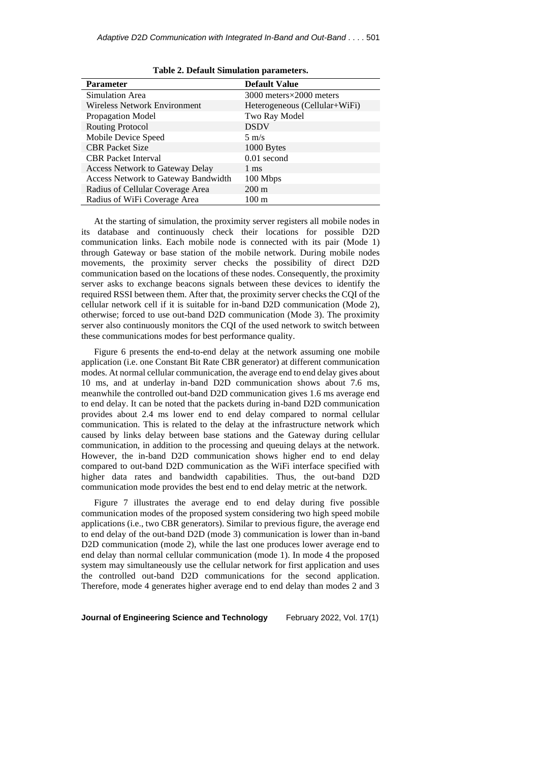| <b>Parameter</b>                       | <b>Default Value</b>          |  |  |  |
|----------------------------------------|-------------------------------|--|--|--|
| Simulation Area                        | 3000 meters×2000 meters       |  |  |  |
| <b>Wireless Network Environment</b>    | Heterogeneous (Cellular+WiFi) |  |  |  |
| Propagation Model                      | Two Ray Model                 |  |  |  |
| <b>Routing Protocol</b>                | <b>DSDV</b>                   |  |  |  |
| Mobile Device Speed                    | $5 \text{ m/s}$               |  |  |  |
| <b>CBR</b> Packet Size                 | 1000 Bytes                    |  |  |  |
| <b>CBR</b> Packet Interval             | $0.01$ second                 |  |  |  |
| <b>Access Network to Gateway Delay</b> | $1 \text{ ms}$                |  |  |  |
| Access Network to Gateway Bandwidth    | 100 Mbps                      |  |  |  |
| Radius of Cellular Coverage Area       | $200 \text{ m}$               |  |  |  |
| Radius of WiFi Coverage Area           | $100 \text{ m}$               |  |  |  |

**Table 2. Default Simulation parameters.**

At the starting of simulation, the proximity server registers all mobile nodes in its database and continuously check their locations for possible D2D communication links. Each mobile node is connected with its pair (Mode 1) through Gateway or base station of the mobile network. During mobile nodes movements, the proximity server checks the possibility of direct D2D communication based on the locations of these nodes. Consequently, the proximity server asks to exchange beacons signals between these devices to identify the required RSSI between them. After that, the proximity server checks the CQI of the cellular network cell if it is suitable for in-band D2D communication (Mode 2), otherwise; forced to use out-band D2D communication (Mode 3). The proximity server also continuously monitors the CQI of the used network to switch between these communications modes for best performance quality.

Figure 6 presents the end-to-end delay at the network assuming one mobile application (i.e. one Constant Bit Rate CBR generator) at different communication modes. At normal cellular communication, the average end to end delay gives about 10 ms, and at underlay in-band D2D communication shows about 7.6 ms, meanwhile the controlled out-band D2D communication gives 1.6 ms average end to end delay. It can be noted that the packets during in-band D2D communication provides about 2.4 ms lower end to end delay compared to normal cellular communication. This is related to the delay at the infrastructure network which caused by links delay between base stations and the Gateway during cellular communication, in addition to the processing and queuing delays at the network. However, the in-band D2D communication shows higher end to end delay compared to out-band D2D communication as the WiFi interface specified with higher data rates and bandwidth capabilities. Thus, the out-band D2D communication mode provides the best end to end delay metric at the network.

Figure 7 illustrates the average end to end delay during five possible communication modes of the proposed system considering two high speed mobile applications (i.e., two CBR generators). Similar to previous figure, the average end to end delay of the out-band D2D (mode 3) communication is lower than in-band D2D communication (mode 2), while the last one produces lower average end to end delay than normal cellular communication (mode 1). In mode 4 the proposed system may simultaneously use the cellular network for first application and uses the controlled out-band D2D communications for the second application. Therefore, mode 4 generates higher average end to end delay than modes 2 and 3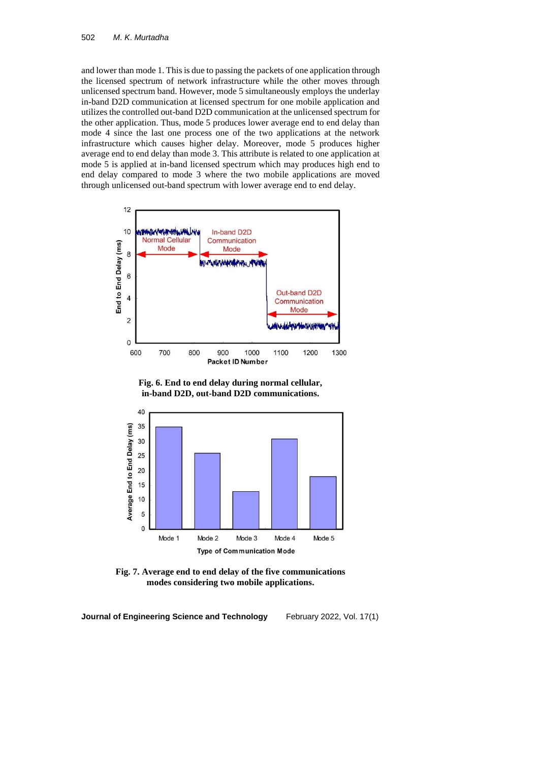and lower than mode 1. This is due to passing the packets of one application through the licensed spectrum of network infrastructure while the other moves through unlicensed spectrum band. However, mode 5 simultaneously employs the underlay in-band D2D communication at licensed spectrum for one mobile application and utilizes the controlled out-band D2D communication at the unlicensed spectrum for the other application. Thus, mode 5 produces lower average end to end delay than mode 4 since the last one process one of the two applications at the network infrastructure which causes higher delay. Moreover, mode 5 produces higher average end to end delay than mode 3. This attribute is related to one application at mode 5 is applied at in-band licensed spectrum which may produces high end to end delay compared to mode 3 where the two mobile applications are moved through unlicensed out-band spectrum with lower average end to end delay.



**Fig. 6. End to end delay during normal cellular, in-band D2D, out-band D2D communications.**



**Fig. 7. Average end to end delay of the five communications modes considering two mobile applications.**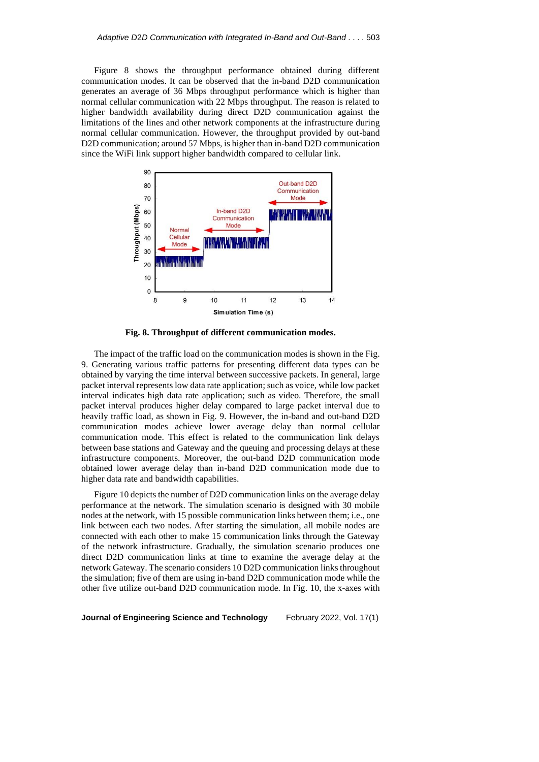Figure 8 shows the throughput performance obtained during different communication modes. It can be observed that the in-band D2D communication generates an average of 36 Mbps throughput performance which is higher than normal cellular communication with 22 Mbps throughput. The reason is related to higher bandwidth availability during direct D2D communication against the limitations of the lines and other network components at the infrastructure during normal cellular communication. However, the throughput provided by out-band D2D communication; around 57 Mbps, is higher than in-band D2D communication since the WiFi link support higher bandwidth compared to cellular link.



**Fig. 8. Throughput of different communication modes.**

The impact of the traffic load on the communication modes is shown in the Fig. 9. Generating various traffic patterns for presenting different data types can be obtained by varying the time interval between successive packets. In general, large packet interval represents low data rate application; such as voice, while low packet interval indicates high data rate application; such as video. Therefore, the small packet interval produces higher delay compared to large packet interval due to heavily traffic load, as shown in Fig. 9. However, the in-band and out-band D2D communication modes achieve lower average delay than normal cellular communication mode. This effect is related to the communication link delays between base stations and Gateway and the queuing and processing delays at these infrastructure components. Moreover, the out-band D2D communication mode obtained lower average delay than in-band D2D communication mode due to higher data rate and bandwidth capabilities.

Figure 10 depicts the number of D2D communication links on the average delay performance at the network. The simulation scenario is designed with 30 mobile nodes at the network, with 15 possible communication links between them; i.e., one link between each two nodes. After starting the simulation, all mobile nodes are connected with each other to make 15 communication links through the Gateway of the network infrastructure. Gradually, the simulation scenario produces one direct D2D communication links at time to examine the average delay at the network Gateway. The scenario considers 10 D2D communication links throughout the simulation; five of them are using in-band D2D communication mode while the other five utilize out-band D2D communication mode. In Fig. 10, the x-axes with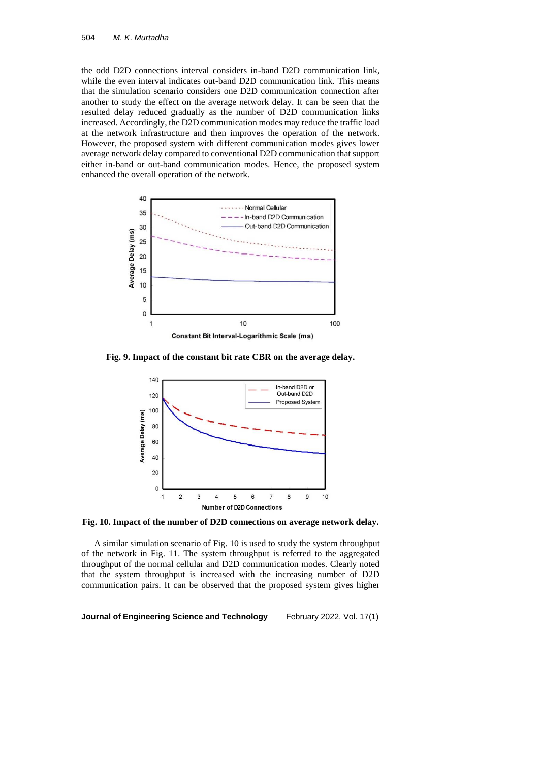the odd D2D connections interval considers in-band D2D communication link, while the even interval indicates out-band D2D communication link. This means that the simulation scenario considers one D2D communication connection after another to study the effect on the average network delay. It can be seen that the resulted delay reduced gradually as the number of D2D communication links increased. Accordingly, the D2D communication modes may reduce the traffic load at the network infrastructure and then improves the operation of the network. However, the proposed system with different communication modes gives lower average network delay compared to conventional D2D communication that support either in-band or out-band communication modes. Hence, the proposed system enhanced the overall operation of the network.



**Fig. 9. Impact of the constant bit rate CBR on the average delay.**



**Fig. 10. Impact of the number of D2D connections on average network delay.**

A similar simulation scenario of Fig. 10 is used to study the system throughput of the network in Fig. 11. The system throughput is referred to the aggregated throughput of the normal cellular and D2D communication modes. Clearly noted that the system throughput is increased with the increasing number of D2D communication pairs. It can be observed that the proposed system gives higher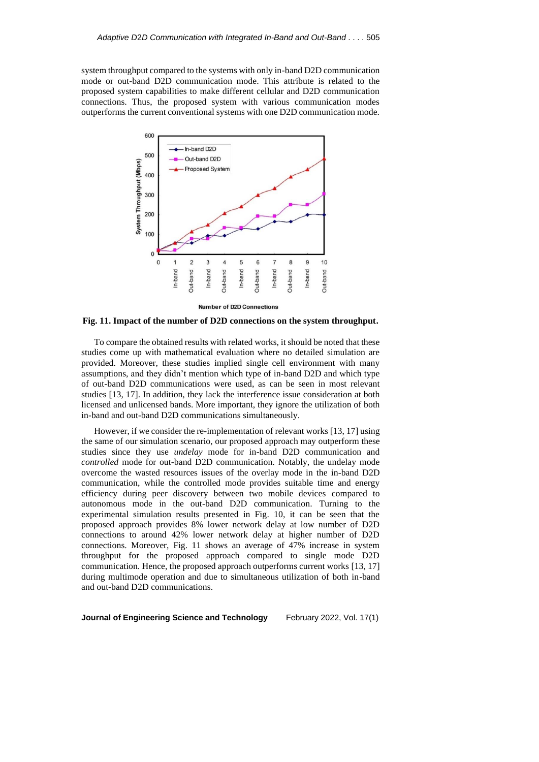system throughput compared to the systems with only in-band D2D communication mode or out-band D2D communication mode. This attribute is related to the proposed system capabilities to make different cellular and D2D communication connections. Thus, the proposed system with various communication modes outperforms the current conventional systems with one D2D communication mode.



**Fig. 11. Impact of the number of D2D connections on the system throughput.**

To compare the obtained results with related works, it should be noted that these studies come up with mathematical evaluation where no detailed simulation are provided. Moreover, these studies implied single cell environment with many assumptions, and they didn't mention which type of in-band D2D and which type of out-band D2D communications were used, as can be seen in most relevant studies [13, 17]. In addition, they lack the interference issue consideration at both licensed and unlicensed bands. More important, they ignore the utilization of both in-band and out-band D2D communications simultaneously.

However, if we consider the re-implementation of relevant works [13, 17] using the same of our simulation scenario, our proposed approach may outperform these studies since they use *undelay* mode for in-band D2D communication and *controlled* mode for out-band D2D communication. Notably, the undelay mode overcome the wasted resources issues of the overlay mode in the in-band D2D communication, while the controlled mode provides suitable time and energy efficiency during peer discovery between two mobile devices compared to autonomous mode in the out-band D2D communication. Turning to the experimental simulation results presented in Fig. 10, it can be seen that the proposed approach provides 8% lower network delay at low number of D2D connections to around 42% lower network delay at higher number of D2D connections. Moreover, Fig. 11 shows an average of 47% increase in system throughput for the proposed approach compared to single mode D2D communication. Hence, the proposed approach outperforms current works [13, 17] during multimode operation and due to simultaneous utilization of both in-band and out-band D2D communications.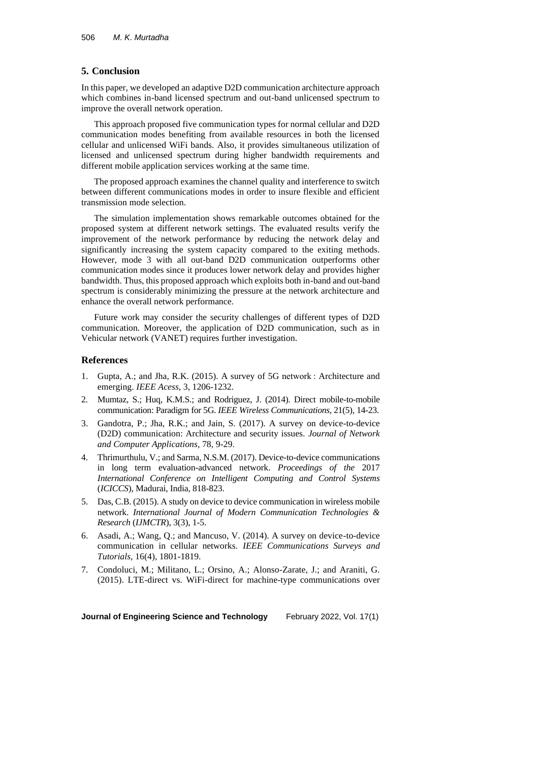# **5. Conclusion**

In this paper, we developed an adaptive D2D communication architecture approach which combines in-band licensed spectrum and out-band unlicensed spectrum to improve the overall network operation.

This approach proposed five communication types for normal cellular and D2D communication modes benefiting from available resources in both the licensed cellular and unlicensed WiFi bands. Also, it provides simultaneous utilization of licensed and unlicensed spectrum during higher bandwidth requirements and different mobile application services working at the same time.

The proposed approach examines the channel quality and interference to switch between different communications modes in order to insure flexible and efficient transmission mode selection.

The simulation implementation shows remarkable outcomes obtained for the proposed system at different network settings. The evaluated results verify the improvement of the network performance by reducing the network delay and significantly increasing the system capacity compared to the exiting methods. However, mode 3 with all out-band D2D communication outperforms other communication modes since it produces lower network delay and provides higher bandwidth. Thus, this proposed approach which exploits both in-band and out-band spectrum is considerably minimizing the pressure at the network architecture and enhance the overall network performance.

Future work may consider the security challenges of different types of D2D communication. Moreover, the application of D2D communication, such as in Vehicular network (VANET) requires further investigation.

### **References**

- 1. Gupta, A.; and Jha, R.K. (2015). A survey of 5G network : Architecture and emerging. *IEEE Acess*, 3, 1206-1232.
- 2. Mumtaz, S.; Huq, K.M.S.; and Rodriguez, J. (2014). Direct mobile-to-mobile communication: Paradigm for 5G. *IEEE Wireless Communications*, 21(5), 14-23.
- 3. Gandotra, P.; Jha, R.K.; and Jain, S. (2017). A survey on device-to-device (D2D) communication: Architecture and security issues. *Journal of Network and Computer Applications*, 78, 9-29.
- 4. Thrimurthulu, V.; and Sarma, N.S.M. (2017). Device-to-device communications in long term evaluation-advanced network. *Proceedings of the* 2017 *International Conference on Intelligent Computing and Control Systems* (*ICICCS*), Madurai, India, 818-823.
- 5. Das, C.B. (2015). A study on device to device communication in wireless mobile network. *International Journal of Modern Communication Technologies & Research* (*IJMCTR*), 3(3), 1-5.
- 6. Asadi, A.; Wang, Q.; and Mancuso, V. (2014). A survey on device-to-device communication in cellular networks. *IEEE Communications Surveys and Tutorials*, 16(4), 1801-1819.
- 7. Condoluci, M.; Militano, L.; Orsino, A.; Alonso-Zarate, J.; and Araniti, G. (2015). LTE-direct vs. WiFi-direct for machine-type communications over